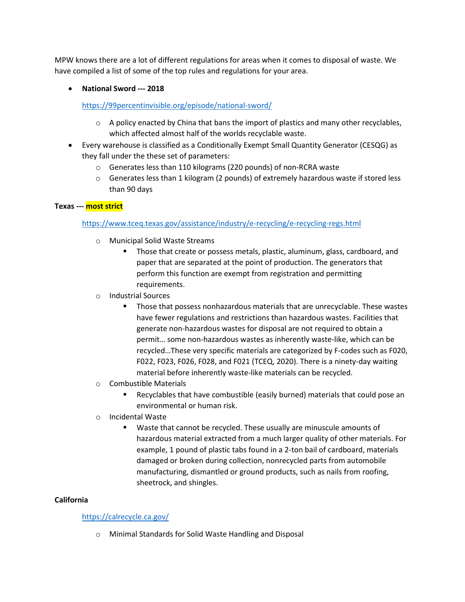MPW knows there are a lot of different regulations for areas when it comes to disposal of waste. We have compiled a list of some of the top rules and regulations for your area.

## • **National Sword --- 2018**

<https://99percentinvisible.org/episode/national-sword/>

- $\circ$  A policy enacted by China that bans the import of plastics and many other recyclables, which affected almost half of the worlds recyclable waste.
- Every warehouse is classified as a Conditionally Exempt Small Quantity Generator (CESQG) as they fall under the these set of parameters:
	- o Generates less than 110 kilograms (220 pounds) of non-RCRA waste
	- $\circ$  Generates less than 1 kilogram (2 pounds) of extremely hazardous waste if stored less than 90 days

### **Texas --- most strict**

## <https://www.tceq.texas.gov/assistance/industry/e-recycling/e-recycling-regs.html>

- o Municipal Solid Waste Streams
	- **Those that create or possess metals, plastic, aluminum, glass, cardboard, and** paper that are separated at the point of production. The generators that perform this function are exempt from registration and permitting requirements.
- o Industrial Sources
	- Those that possess nonhazardous materials that are unrecyclable. These wastes have fewer regulations and restrictions than hazardous wastes. Facilities that generate non-hazardous wastes for disposal are not required to obtain a permit… some non-hazardous wastes as inherently waste-like, which can be recycled…These very specific materials are categorized by F-codes such as F020, F022, F023, F026, F028, and F021 (TCEQ, 2020). There is a ninety-day waiting material before inherently waste-like materials can be recycled.
- o Combustible Materials
	- Recyclables that have combustible (easily burned) materials that could pose an environmental or human risk.
- o Incidental Waste
	- Waste that cannot be recycled. These usually are minuscule amounts of hazardous material extracted from a much larger quality of other materials. For example, 1 pound of plastic tabs found in a 2-ton bail of cardboard, materials damaged or broken during collection, nonrecycled parts from automobile manufacturing, dismantled or ground products, such as nails from roofing, sheetrock, and shingles.

### **California**

### <https://calrecycle.ca.gov/>

o Minimal Standards for Solid Waste Handling and Disposal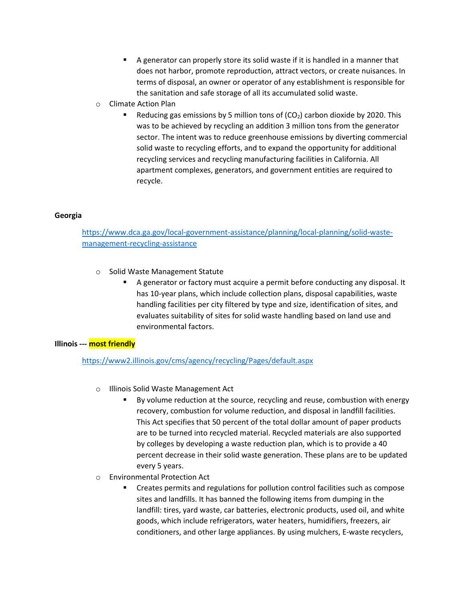- A generator can properly store its solid waste if it is handled in a manner that does not harbor, promote reproduction, attract vectors, or create nuisances. In terms of disposal, an owner or operator of any establishment is responsible for the sanitation and safe storage of all its accumulated solid waste.
- o Climate Action Plan
	- Reducing gas emissions by 5 million tons of  $(CO<sub>2</sub>)$  carbon dioxide by 2020. This was to be achieved by recycling an addition 3 million tons from the generator sector. The intent was to reduce greenhouse emissions by diverting commercial solid waste to recycling efforts, and to expand the opportunity for additional recycling services and recycling manufacturing facilities in California. All apartment complexes, generators, and government entities are required to recycle.

### **Georgia**

# [https://www.dca.ga.gov/local-government-assistance/planning/local-planning/solid-waste](https://www.dca.ga.gov/local-government-assistance/planning/local-planning/solid-waste-management-recycling-assistance)[management-recycling-assistance](https://www.dca.ga.gov/local-government-assistance/planning/local-planning/solid-waste-management-recycling-assistance)

- o Solid Waste Management Statute
	- A generator or factory must acquire a permit before conducting any disposal. It has 10-year plans, which include collection plans, disposal capabilities, waste handling facilities per city filtered by type and size, identification of sites, and evaluates suitability of sites for solid waste handling based on land use and environmental factors.

### **Illinois --- most friendly**

### <https://www2.illinois.gov/cms/agency/recycling/Pages/default.aspx>

- o Illinois Solid Waste Management Act
	- By volume reduction at the source, recycling and reuse, combustion with energy recovery, combustion for volume reduction, and disposal in landfill facilities. This Act specifies that 50 percent of the total dollar amount of paper products are to be turned into recycled material. Recycled materials are also supported by colleges by developing a waste reduction plan, which is to provide a 40 percent decrease in their solid waste generation. These plans are to be updated every 5 years.
- o Environmental Protection Act
	- Creates permits and regulations for pollution control facilities such as compose sites and landfills. It has banned the following items from dumping in the landfill: tires, yard waste, car batteries, electronic products, used oil, and white goods, which include refrigerators, water heaters, humidifiers, freezers, air conditioners, and other large appliances. By using mulchers, E-waste recyclers,